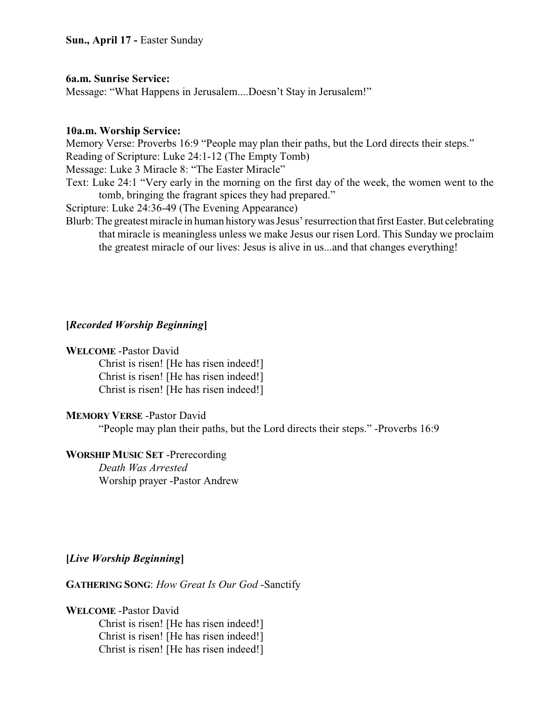## **6a.m. Sunrise Service:**

Message: "What Happens in Jerusalem....Doesn't Stay in Jerusalem!"

## **10a.m. Worship Service:**

Memory Verse: Proverbs 16:9 "People may plan their paths, but the Lord directs their steps." Reading of Scripture: Luke 24:1-12 (The Empty Tomb)

Message: Luke 3 Miracle 8: "The Easter Miracle"

Text: Luke 24:1 "Very early in the morning on the first day of the week, the women went to the tomb, bringing the fragrant spices they had prepared."

Scripture: Luke 24:36-49 (The Evening Appearance)

Blurb: The greatest miracle in human historywas Jesus' resurrection that first Easter. But celebrating that miracle is meaningless unless we make Jesus our risen Lord. This Sunday we proclaim the greatest miracle of our lives: Jesus is alive in us...and that changes everything!

# **[***Recorded Worship Beginning***]**

## **WELCOME** -Pastor David

Christ is risen! [He has risen indeed!] Christ is risen! [He has risen indeed!] Christ is risen! [He has risen indeed!]

## **MEMORY VERSE** -Pastor David

"People may plan their paths, but the Lord directs their steps." -Proverbs 16:9

# **WORSHIP MUSIC SET** -Prerecording

*Death Was Arrested* Worship prayer -Pastor Andrew

# **[***Live Worship Beginning***]**

**GATHERING SONG**: *How Great Is Our God* -Sanctify

## **WELCOME** -Pastor David

Christ is risen! [He has risen indeed!] Christ is risen! [He has risen indeed!] Christ is risen! [He has risen indeed!]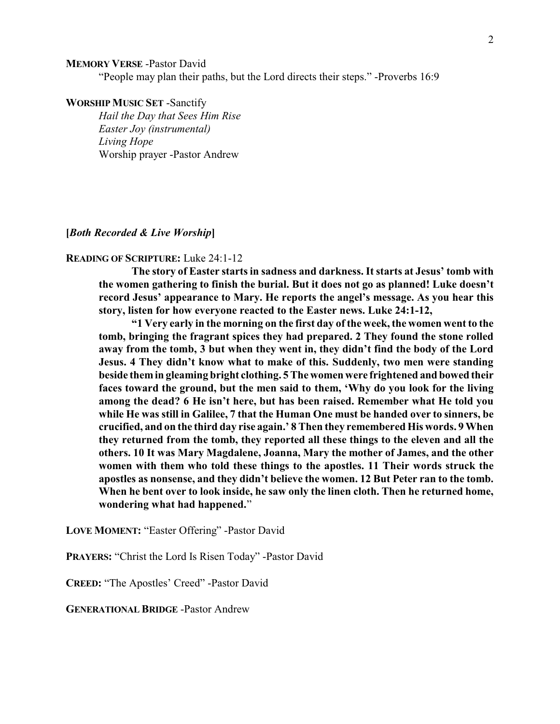#### **MEMORY VERSE** -Pastor David

"People may plan their paths, but the Lord directs their steps." -Proverbs 16:9

#### **WORSHIP MUSIC SET** -Sanctify

*Hail the Day that Sees Him Rise Easter Joy (instrumental) Living Hope* Worship prayer -Pastor Andrew

**[***Both Recorded & Live Worship***]**

#### **READING OF SCRIPTURE:** Luke 24:1-12

**The story of Easter starts in sadness and darkness. It starts at Jesus' tomb with the women gathering to finish the burial. But it does not go as planned! Luke doesn't record Jesus' appearance to Mary. He reports the angel's message. As you hear this story, listen for how everyone reacted to the Easter news. Luke 24:1-12,**

**"1 Very early in the morning on the first day of the week, the women went to the tomb, bringing the fragrant spices they had prepared. 2 They found the stone rolled away from the tomb, 3 but when they went in, they didn't find the body of the Lord Jesus. 4 They didn't know what to make of this. Suddenly, two men were standing beside themin gleaming bright clothing. 5 The women were frightened and bowed their faces toward the ground, but the men said to them, 'Why do you look for the living among the dead? 6 He isn't here, but has been raised. Remember what He told you while He was still in Galilee, 7 that the Human One must be handed over to sinners, be crucified, and on the third day rise again.' 8 Then they remembered His words. 9 When they returned from the tomb, they reported all these things to the eleven and all the others. 10 It was Mary Magdalene, Joanna, Mary the mother of James, and the other women with them who told these things to the apostles. 11 Their words struck the apostles as nonsense, and they didn't believe the women. 12 But Peter ran to the tomb. When he bent over to look inside, he saw only the linen cloth. Then he returned home, wondering what had happened.**"

**LOVE MOMENT:** "Easter Offering" -Pastor David

**PRAYERS:** "Christ the Lord Is Risen Today" -Pastor David

**CREED:** "The Apostles' Creed" -Pastor David

**GENERATIONAL BRIDGE** -Pastor Andrew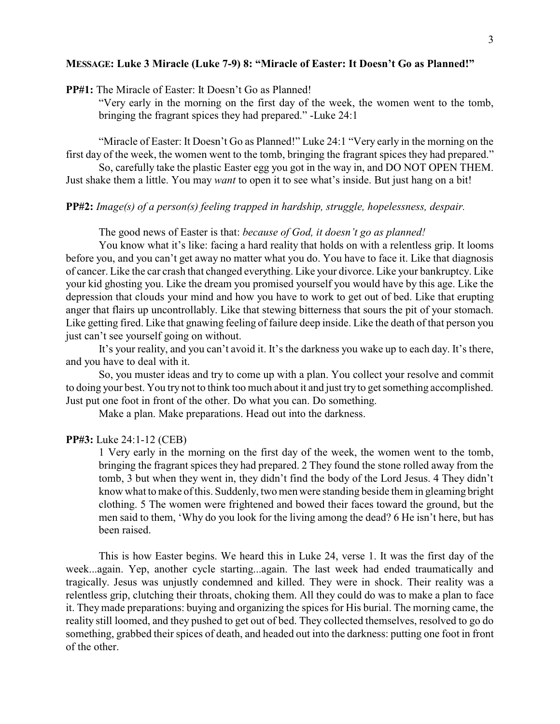#### **MESSAGE: Luke 3 Miracle (Luke 7-9) 8: "Miracle of Easter: It Doesn't Go as Planned!"**

**PP#1:** The Miracle of Easter: It Doesn't Go as Planned!

"Very early in the morning on the first day of the week, the women went to the tomb, bringing the fragrant spices they had prepared." -Luke 24:1

"Miracle of Easter: It Doesn't Go as Planned!" Luke 24:1 "Very early in the morning on the first day of the week, the women went to the tomb, bringing the fragrant spices they had prepared."

So, carefully take the plastic Easter egg you got in the way in, and DO NOT OPEN THEM. Just shake them a little. You may *want* to open it to see what's inside. But just hang on a bit!

## **PP#2:** *Image(s) of a person(s) feeling trapped in hardship, struggle, hopelessness, despair.*

The good news of Easter is that: *because of God, it doesn't go as planned!*

You know what it's like: facing a hard reality that holds on with a relentless grip. It looms before you, and you can't get away no matter what you do. You have to face it. Like that diagnosis of cancer. Like the car crash that changed everything. Like your divorce. Like your bankruptcy. Like your kid ghosting you. Like the dream you promised yourself you would have by this age. Like the depression that clouds your mind and how you have to work to get out of bed. Like that erupting anger that flairs up uncontrollably. Like that stewing bitterness that sours the pit of your stomach. Like getting fired. Like that gnawing feeling of failure deep inside. Like the death of that person you just can't see yourself going on without.

It's your reality, and you can't avoid it. It's the darkness you wake up to each day. It's there, and you have to deal with it.

So, you muster ideas and try to come up with a plan. You collect your resolve and commit to doing your best. You try not to think too much about it and just try to get something accomplished. Just put one foot in front of the other. Do what you can. Do something.

Make a plan. Make preparations. Head out into the darkness.

### **PP#3:** Luke 24:1-12 (CEB)

1 Very early in the morning on the first day of the week, the women went to the tomb, bringing the fragrant spices they had prepared. 2 They found the stone rolled away from the tomb, 3 but when they went in, they didn't find the body of the Lord Jesus. 4 They didn't know what to make of this. Suddenly, two men were standing beside them in gleaming bright clothing. 5 The women were frightened and bowed their faces toward the ground, but the men said to them, 'Why do you look for the living among the dead? 6 He isn't here, but has been raised.

This is how Easter begins. We heard this in Luke 24, verse 1. It was the first day of the week...again. Yep, another cycle starting...again. The last week had ended traumatically and tragically. Jesus was unjustly condemned and killed. They were in shock. Their reality was a relentless grip, clutching their throats, choking them. All they could do was to make a plan to face it. They made preparations: buying and organizing the spices for His burial. The morning came, the reality still loomed, and they pushed to get out of bed. They collected themselves, resolved to go do something, grabbed their spices of death, and headed out into the darkness: putting one foot in front of the other.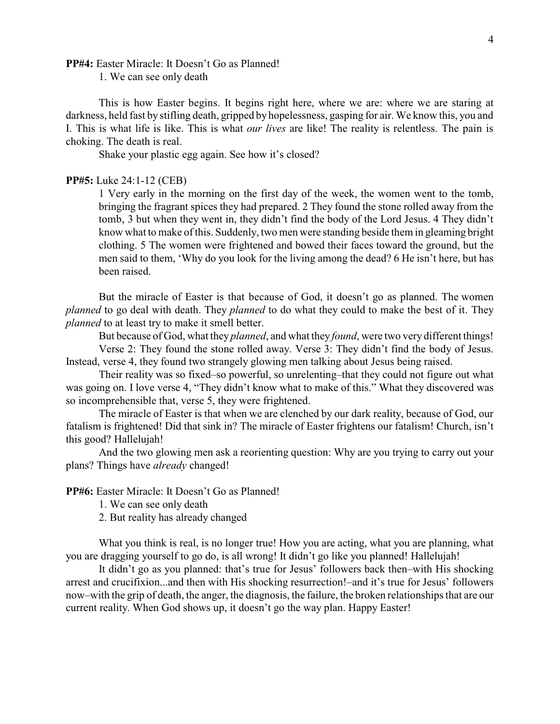#### **PP#4:** Easter Miracle: It Doesn't Go as Planned!

1. We can see only death

This is how Easter begins. It begins right here, where we are: where we are staring at darkness, held fast by stifling death, gripped byhopelessness, gasping for air. We know this, you and I. This is what life is like. This is what *our lives* are like! The reality is relentless. The pain is choking. The death is real.

Shake your plastic egg again. See how it's closed?

### **PP#5:** Luke 24:1-12 (CEB)

1 Very early in the morning on the first day of the week, the women went to the tomb, bringing the fragrant spices they had prepared. 2 They found the stone rolled away from the tomb, 3 but when they went in, they didn't find the body of the Lord Jesus. 4 They didn't know what to make of this. Suddenly, two men were standing beside them in gleaming bright clothing. 5 The women were frightened and bowed their faces toward the ground, but the men said to them, 'Why do you look for the living among the dead? 6 He isn't here, but has been raised.

But the miracle of Easter is that because of God, it doesn't go as planned. The women *planned* to go deal with death. They *planned* to do what they could to make the best of it. They *planned* to at least try to make it smell better.

But because of God, what they *planned*, and what they *found*, were two very different things!

Verse 2: They found the stone rolled away. Verse 3: They didn't find the body of Jesus. Instead, verse 4, they found two strangely glowing men talking about Jesus being raised.

Their reality was so fixed–so powerful, so unrelenting–that they could not figure out what was going on. I love verse 4, "They didn't know what to make of this." What they discovered was so incomprehensible that, verse 5, they were frightened.

The miracle of Easter is that when we are clenched by our dark reality, because of God, our fatalism is frightened! Did that sink in? The miracle of Easter frightens our fatalism! Church, isn't this good? Hallelujah!

And the two glowing men ask a reorienting question: Why are you trying to carry out your plans? Things have *already* changed!

**PP#6:** Easter Miracle: It Doesn't Go as Planned!

1. We can see only death

2. But reality has already changed

What you think is real, is no longer true! How you are acting, what you are planning, what you are dragging yourself to go do, is all wrong! It didn't go like you planned! Hallelujah!

It didn't go as you planned: that's true for Jesus' followers back then–with His shocking arrest and crucifixion...and then with His shocking resurrection!–and it's true for Jesus' followers now–with the grip of death, the anger, the diagnosis, the failure, the broken relationships that are our current reality. When God shows up, it doesn't go the way plan. Happy Easter!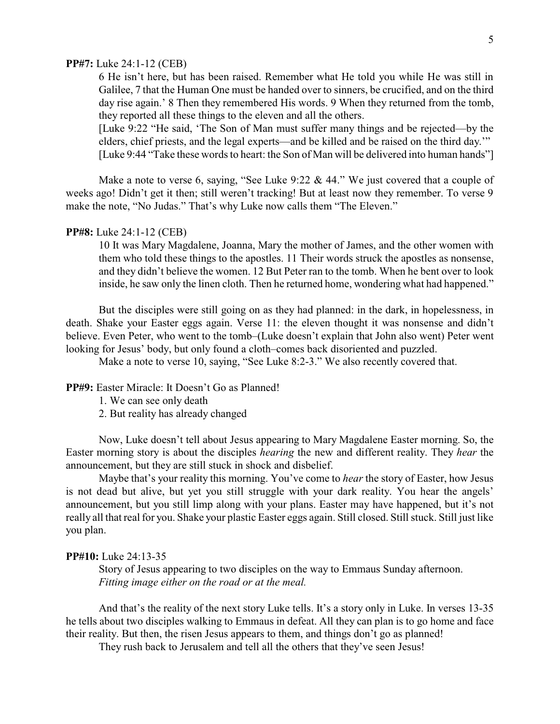### **PP#7:** Luke 24:1-12 (CEB)

6 He isn't here, but has been raised. Remember what He told you while He was still in Galilee, 7 that the Human One must be handed over to sinners, be crucified, and on the third day rise again.' 8 Then they remembered His words. 9 When they returned from the tomb, they reported all these things to the eleven and all the others.

[Luke 9:22 "He said, 'The Son of Man must suffer many things and be rejected—by the elders, chief priests, and the legal experts—and be killed and be raised on the third day.'" [Luke 9:44 "Take these words to heart: the Son of Man will be delivered into human hands"]

Make a note to verse 6, saying, "See Luke  $9:22 \& 44."$  We just covered that a couple of weeks ago! Didn't get it then; still weren't tracking! But at least now they remember. To verse 9 make the note, "No Judas." That's why Luke now calls them "The Eleven."

### **PP#8:** Luke 24:1-12 (CEB)

10 It was Mary Magdalene, Joanna, Mary the mother of James, and the other women with them who told these things to the apostles. 11 Their words struck the apostles as nonsense, and they didn't believe the women. 12 But Peter ran to the tomb. When he bent over to look inside, he saw only the linen cloth. Then he returned home, wondering what had happened."

But the disciples were still going on as they had planned: in the dark, in hopelessness, in death. Shake your Easter eggs again. Verse 11: the eleven thought it was nonsense and didn't believe. Even Peter, who went to the tomb–(Luke doesn't explain that John also went) Peter went looking for Jesus' body, but only found a cloth–comes back disoriented and puzzled.

Make a note to verse 10, saying, "See Luke 8:2-3." We also recently covered that.

### **PP#9:** Easter Miracle: It Doesn't Go as Planned!

- 1. We can see only death
- 2. But reality has already changed

Now, Luke doesn't tell about Jesus appearing to Mary Magdalene Easter morning. So, the Easter morning story is about the disciples *hearing* the new and different reality. They *hear* the announcement, but they are still stuck in shock and disbelief.

Maybe that's your reality this morning. You've come to *hear* the story of Easter, how Jesus is not dead but alive, but yet you still struggle with your dark reality. You hear the angels' announcement, but you still limp along with your plans. Easter may have happened, but it's not really all that real for you. Shake your plastic Easter eggs again. Still closed. Still stuck. Still just like you plan.

#### **PP#10:** Luke 24:13-35

Story of Jesus appearing to two disciples on the way to Emmaus Sunday afternoon. *Fitting image either on the road or at the meal.*

And that's the reality of the next story Luke tells. It's a story only in Luke. In verses 13-35 he tells about two disciples walking to Emmaus in defeat. All they can plan is to go home and face their reality. But then, the risen Jesus appears to them, and things don't go as planned!

They rush back to Jerusalem and tell all the others that they've seen Jesus!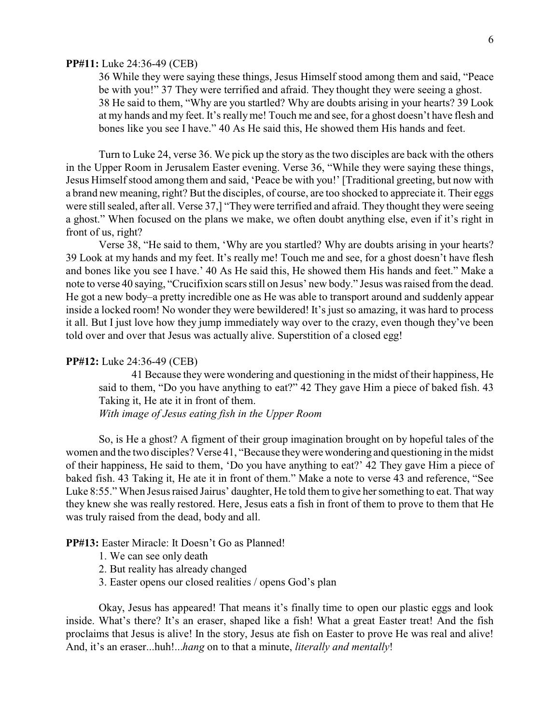#### **PP#11:** Luke 24:36-49 (CEB)

36 While they were saying these things, Jesus Himself stood among them and said, "Peace be with you!" 37 They were terrified and afraid. They thought they were seeing a ghost. 38 He said to them, "Why are you startled? Why are doubts arising in your hearts? 39 Look at my hands and my feet. It's really me! Touch me and see, for a ghost doesn't have flesh and bones like you see I have." 40 As He said this, He showed them His hands and feet.

Turn to Luke 24, verse 36. We pick up the story as the two disciples are back with the others in the Upper Room in Jerusalem Easter evening. Verse 36, "While they were saying these things, Jesus Himself stood among them and said, 'Peace be with you!' [Traditional greeting, but now with a brand new meaning, right? But the disciples, of course, are too shocked to appreciate it. Their eggs were still sealed, after all. Verse 37,] "They were terrified and afraid. They thought they were seeing a ghost." When focused on the plans we make, we often doubt anything else, even if it's right in front of us, right?

Verse 38, "He said to them, 'Why are you startled? Why are doubts arising in your hearts? 39 Look at my hands and my feet. It's really me! Touch me and see, for a ghost doesn't have flesh and bones like you see I have.' 40 As He said this, He showed them His hands and feet." Make a note to verse 40 saying, "Crucifixion scars still on Jesus' new body." Jesus was raised from the dead. He got a new body–a pretty incredible one as He was able to transport around and suddenly appear inside a locked room! No wonder they were bewildered! It's just so amazing, it was hard to process it all. But I just love how they jump immediately way over to the crazy, even though they've been told over and over that Jesus was actually alive. Superstition of a closed egg!

#### **PP#12:** Luke 24:36-49 (CEB)

41 Because they were wondering and questioning in the midst of their happiness, He said to them, "Do you have anything to eat?" 42 They gave Him a piece of baked fish. 43 Taking it, He ate it in front of them.

*With image of Jesus eating fish in the Upper Room*

So, is He a ghost? A figment of their group imagination brought on by hopeful tales of the women and the two disciples? Verse 41, "Because theywere wondering and questioning in the midst of their happiness, He said to them, 'Do you have anything to eat?' 42 They gave Him a piece of baked fish. 43 Taking it, He ate it in front of them." Make a note to verse 43 and reference, "See Luke 8:55." When Jesus raised Jairus' daughter, He told them to give her something to eat. That way they knew she was really restored. Here, Jesus eats a fish in front of them to prove to them that He was truly raised from the dead, body and all.

### **PP#13:** Easter Miracle: It Doesn't Go as Planned!

- 1. We can see only death
- 2. But reality has already changed
- 3. Easter opens our closed realities / opens God's plan

Okay, Jesus has appeared! That means it's finally time to open our plastic eggs and look inside. What's there? It's an eraser, shaped like a fish! What a great Easter treat! And the fish proclaims that Jesus is alive! In the story, Jesus ate fish on Easter to prove He was real and alive! And, it's an eraser...huh!...*hang* on to that a minute, *literally and mentally*!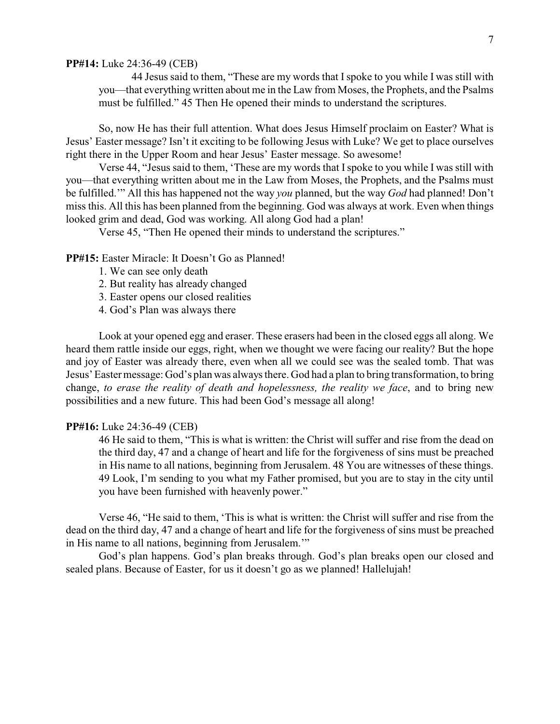#### **PP#14:** Luke 24:36-49 (CEB)

44 Jesus said to them, "These are my words that Ispoke to you while I was still with you—that everything written about me in the Law from Moses, the Prophets, and the Psalms must be fulfilled." 45 Then He opened their minds to understand the scriptures.

So, now He has their full attention. What does Jesus Himself proclaim on Easter? What is Jesus' Easter message? Isn't it exciting to be following Jesus with Luke? We get to place ourselves right there in the Upper Room and hear Jesus' Easter message. So awesome!

Verse 44, "Jesus said to them, 'These are my words that Ispoke to you while I was still with you—that everything written about me in the Law from Moses, the Prophets, and the Psalms must be fulfilled.'" All this has happened not the way *you* planned, but the way *God* had planned! Don't miss this. All this has been planned from the beginning. God was always at work. Even when things looked grim and dead, God was working. All along God had a plan!

Verse 45, "Then He opened their minds to understand the scriptures."

### **PP#15:** Easter Miracle: It Doesn't Go as Planned!

- 1. We can see only death
- 2. But reality has already changed
- 3. Easter opens our closed realities
- 4. God's Plan was always there

Look at your opened egg and eraser. These erasers had been in the closed eggs all along. We heard them rattle inside our eggs, right, when we thought we were facing our reality? But the hope and joy of Easter was already there, even when all we could see was the sealed tomb. That was Jesus' Easter message: God's plan was always there. God had a plan to bring transformation, to bring change, *to erase the reality of death and hopelessness, the reality we face*, and to bring new possibilities and a new future. This had been God's message all along!

## **PP#16:** Luke 24:36-49 (CEB)

46 He said to them, "This is what is written: the Christ will suffer and rise from the dead on the third day, 47 and a change of heart and life for the forgiveness of sins must be preached in His name to all nations, beginning from Jerusalem. 48 You are witnesses of these things. 49 Look, I'm sending to you what my Father promised, but you are to stay in the city until you have been furnished with heavenly power."

Verse 46, "He said to them, 'This is what is written: the Christ will suffer and rise from the dead on the third day, 47 and a change of heart and life for the forgiveness of sins must be preached in His name to all nations, beginning from Jerusalem.'"

God's plan happens. God's plan breaks through. God's plan breaks open our closed and sealed plans. Because of Easter, for us it doesn't go as we planned! Hallelujah!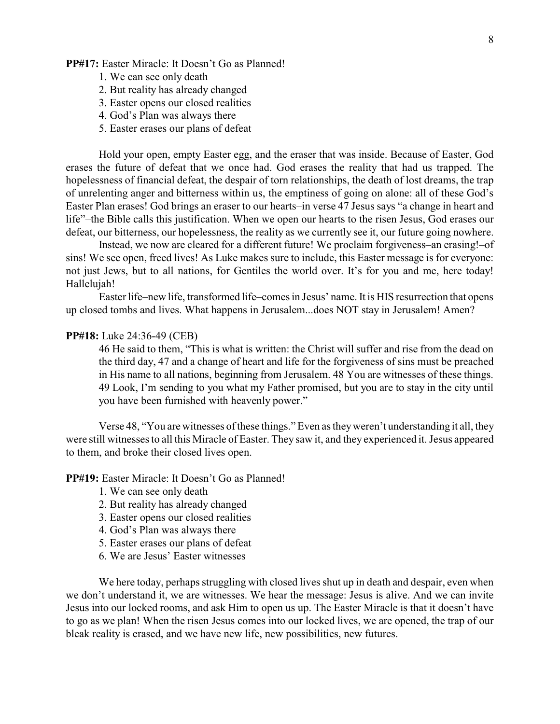### **PP#17:** Easter Miracle: It Doesn't Go as Planned!

- 1. We can see only death
- 2. But reality has already changed
- 3. Easter opens our closed realities
- 4. God's Plan was always there
- 5. Easter erases our plans of defeat

Hold your open, empty Easter egg, and the eraser that was inside. Because of Easter, God erases the future of defeat that we once had. God erases the reality that had us trapped. The hopelessness of financial defeat, the despair of torn relationships, the death of lost dreams, the trap of unrelenting anger and bitterness within us, the emptiness of going on alone: all of these God's Easter Plan erases! God brings an eraser to our hearts–in verse 47 Jesus says "a change in heart and life"–the Bible calls this justification. When we open our hearts to the risen Jesus, God erases our defeat, our bitterness, our hopelessness, the reality as we currently see it, our future going nowhere.

Instead, we now are cleared for a different future! We proclaim forgiveness–an erasing!–of sins! We see open, freed lives! As Luke makes sure to include, this Easter message is for everyone: not just Jews, but to all nations, for Gentiles the world over. It's for you and me, here today! Hallelujah!

Easter life–new life, transformed life–comes in Jesus' name. It is HIS resurrection that opens up closed tombs and lives. What happens in Jerusalem...does NOT stay in Jerusalem! Amen?

### **PP#18:** Luke 24:36-49 (CEB)

46 He said to them, "This is what is written: the Christ will suffer and rise from the dead on the third day, 47 and a change of heart and life for the forgiveness of sins must be preached in His name to all nations, beginning from Jerusalem. 48 You are witnesses of these things. 49 Look, I'm sending to you what my Father promised, but you are to stay in the city until you have been furnished with heavenly power."

Verse 48, "You are witnesses of these things." Even as theyweren't understanding it all, they were still witnesses to all this Miracle of Easter. They saw it, and they experienced it. Jesus appeared to them, and broke their closed lives open.

**PP#19:** Easter Miracle: It Doesn't Go as Planned!

- 1. We can see only death
- 2. But reality has already changed
- 3. Easter opens our closed realities
- 4. God's Plan was always there
- 5. Easter erases our plans of defeat
- 6. We are Jesus' Easter witnesses

We here today, perhaps struggling with closed lives shut up in death and despair, even when we don't understand it, we are witnesses. We hear the message: Jesus is alive. And we can invite Jesus into our locked rooms, and ask Him to open us up. The Easter Miracle is that it doesn't have to go as we plan! When the risen Jesus comes into our locked lives, we are opened, the trap of our bleak reality is erased, and we have new life, new possibilities, new futures.